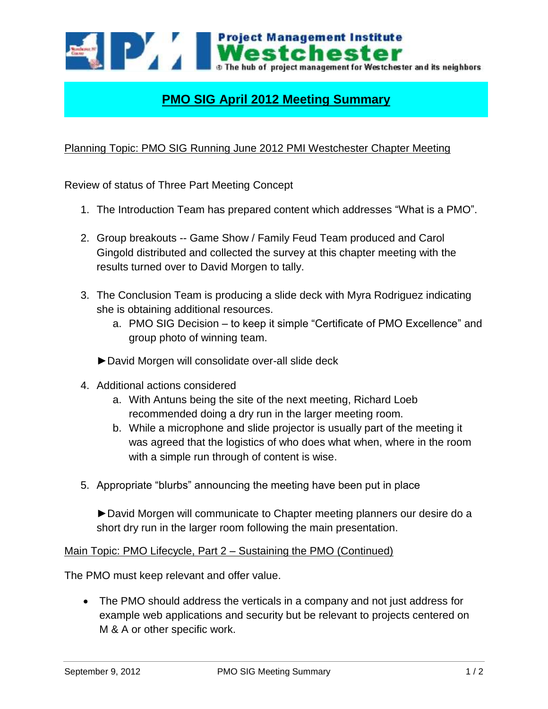

## **PMO SIG April 2012 Meeting Summary**

## Planning Topic: PMO SIG Running June 2012 PMI Westchester Chapter Meeting

Review of status of Three Part Meeting Concept

- 1. The Introduction Team has prepared content which addresses "What is a PMO".
- 2. Group breakouts -- Game Show / Family Feud Team produced and Carol Gingold distributed and collected the survey at this chapter meeting with the results turned over to David Morgen to tally.
- 3. The Conclusion Team is producing a slide deck with Myra Rodriguez indicating she is obtaining additional resources.
	- a. PMO SIG Decision to keep it simple "Certificate of PMO Excellence" and group photo of winning team.
	- ►David Morgen will consolidate over-all slide deck
- 4. Additional actions considered
	- a. With Antuns being the site of the next meeting, Richard Loeb recommended doing a dry run in the larger meeting room.
	- b. While a microphone and slide projector is usually part of the meeting it was agreed that the logistics of who does what when, where in the room with a simple run through of content is wise.
- 5. Appropriate "blurbs" announcing the meeting have been put in place

►David Morgen will communicate to Chapter meeting planners our desire do a short dry run in the larger room following the main presentation.

## Main Topic: PMO Lifecycle, Part 2 – Sustaining the PMO (Continued)

The PMO must keep relevant and offer value.

 The PMO should address the verticals in a company and not just address for example web applications and security but be relevant to projects centered on M & A or other specific work.